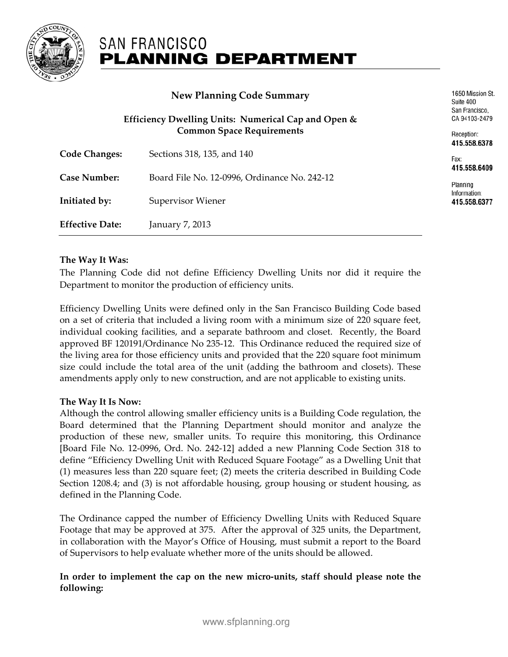

## **SAN FRANCISCO PLANNING DEPARTMENT**

|                                                     | 1650 Mission St.<br>Suite 400<br>San Francisco.<br>CA 94103-2479 |                              |
|-----------------------------------------------------|------------------------------------------------------------------|------------------------------|
| Efficiency Dwelling Units: Numerical Cap and Open & |                                                                  |                              |
|                                                     | <b>Common Space Requirements</b>                                 | Reception:<br>415.558.6378   |
| <b>Code Changes:</b>                                | Sections 318, 135, and 140                                       | Fax:<br>415.558.6409         |
| <b>Case Number:</b>                                 | Board File No. 12-0996, Ordinance No. 242-12                     | Planning                     |
| Initiated by:                                       | Supervisor Wiener                                                | Information:<br>415.558.6377 |
| <b>Effective Date:</b>                              | January 7, 2013                                                  |                              |

## **The Way It Was:**

The Planning Code did not define Efficiency Dwelling Units nor did it require the Department to monitor the production of efficiency units.

Efficiency Dwelling Units were defined only in the San Francisco Building Code based on a set of criteria that included a living room with a minimum size of 220 square feet, individual cooking facilities, and a separate bathroom and closet. Recently, the Board approved BF 120191/Ordinance No 235-12. This Ordinance reduced the required size of the living area for those efficiency units and provided that the 220 square foot minimum size could include the total area of the unit (adding the bathroom and closets). These amendments apply only to new construction, and are not applicable to existing units.

## **The Way It Is Now:**

Although the control allowing smaller efficiency units is a Building Code regulation, the Board determined that the Planning Department should monitor and analyze the production of these new, smaller units. To require this monitoring, this Ordinance [Board File No. 12-0996, Ord. No. 242-12] added a new Planning Code Section 318 to define "Efficiency Dwelling Unit with Reduced Square Footage" as a Dwelling Unit that (1) measures less than 220 square feet; (2) meets the criteria described in Building Code Section 1208.4; and (3) is not affordable housing, group housing or student housing, as defined in the Planning Code.

The Ordinance capped the number of Efficiency Dwelling Units with Reduced Square Footage that may be approved at 375. After the approval of 325 units, the Department, in collaboration with the Mayor's Office of Housing, must submit a report to the Board of Supervisors to help evaluate whether more of the units should be allowed.

## **In order to implement the cap on the new micro-units, staff should please note the following:**